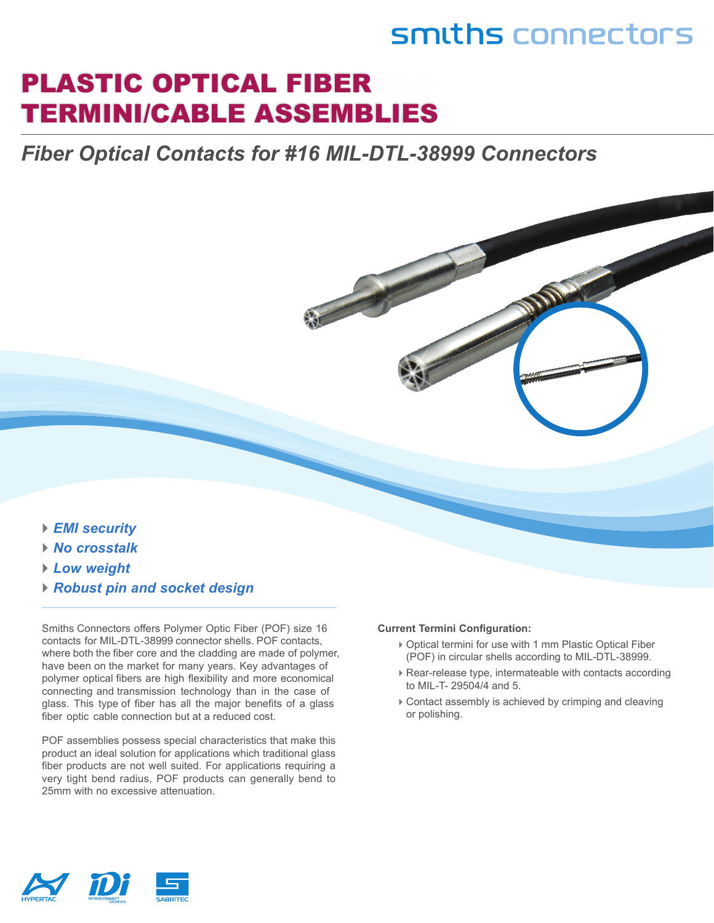## smiths connectors

## PLASTIC OPTICAL FIBER TERMINI/CABLE ASSEMBLIES

### *Fiber Optical Contacts for #16 MIL-DTL-38999 Connectors*

- *► EMI security*
- *► No crosstalk*
- *► Low weight*
- *► Robust pin and socket design*

Smiths Connectors offers Polymer Optic Fiber (POF) size 16 contacts for MIL-DTL-38999 connector shells. POF contacts, where both the fiber core and the cladding are made of polymer, have been on the market for many years. Key advantages of polymer optical fibers are high flexibility and more economical connecting and transmission technology than in the case of glass. This type of fiber has all the major benefits of a glass fiber optic cable connection but at a reduced cost.

POF assemblies possess special characteristics that make this product an ideal solution for applications which traditional glass fiber products are not well suited. For applications requiring a very tight bend radius, POF products can generally bend to 25mm with no excessive attenuation.

#### **Current Termini Configuration:**

- ► Optical termini for use with 1 mm Plastic Optical Fiber (POF) in circular shells according to MIL-DTL-38999.
- ► Rear-release type, intermateable with contacts according to MIL-T- 29504/4 and 5.
- ► Contact assembly is achieved by crimping and cleaving or polishing.